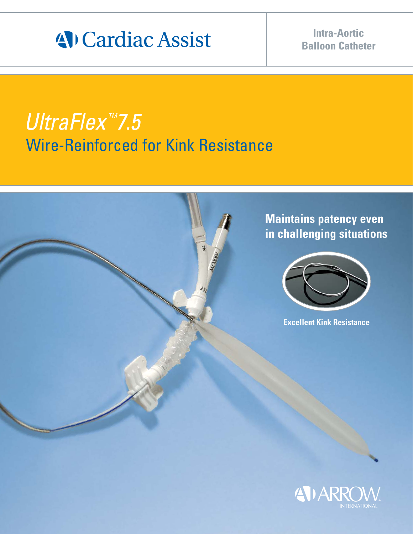# 4 Cardiac Assist

## **Intra-Aortic Balloon Catheter**

# UltraFlex<sup>™</sup>7.5 Wire-Reinforced for Kink Resistance



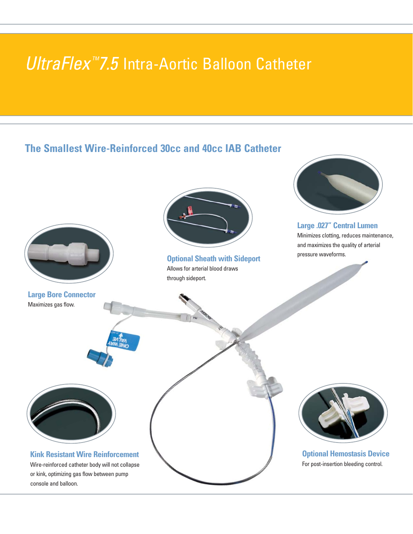## UltraFlex $MZ.5$  Intra-Aortic Balloon Catheter

## **The Smallest Wire-Reinforced 30cc and 40cc IAB Catheter**

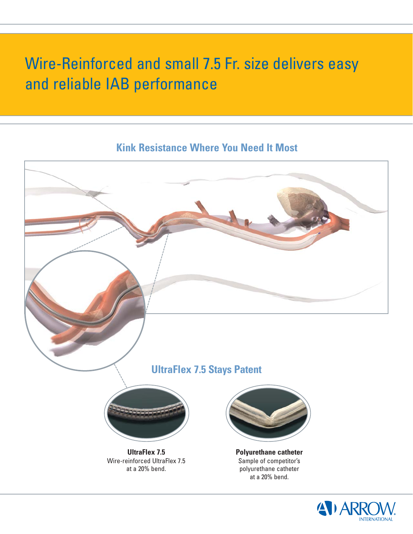## Wire-Reinforced and small 7.5 Fr. size delivers easy and reliable IAB performance

## **Kink Resistance Where You Need It Most**